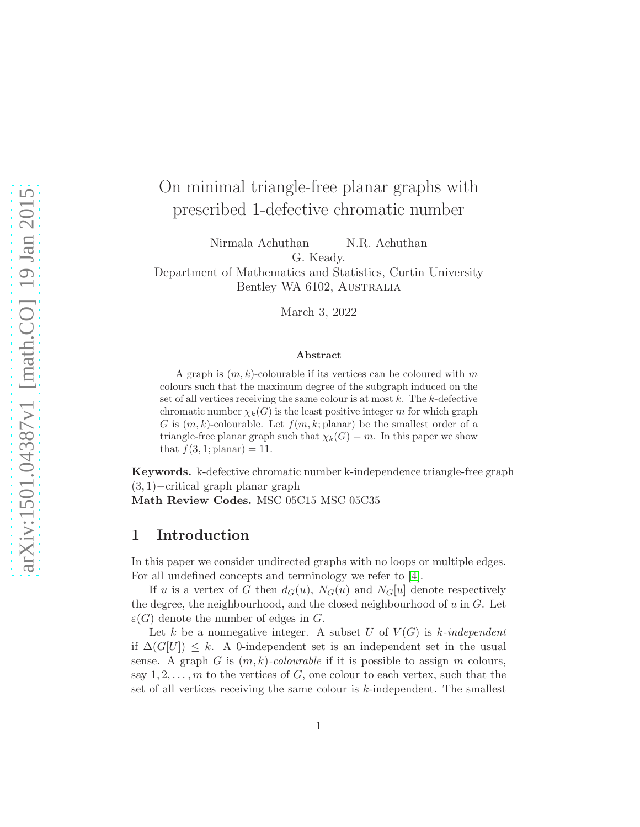# On minimal triangle-free planar graphs with prescribed 1-defective chromatic number

Nirmala Achuthan N.R. Achuthan G. Keady.

Department of Mathematics and Statistics, Curtin University Bentley WA 6102, AUSTRALIA

March 3, 2022

#### Abstract

A graph is  $(m, k)$ -colourable if its vertices can be coloured with m colours such that the maximum degree of the subgraph induced on the set of all vertices receiving the same colour is at most  $k$ . The  $k$ -defective chromatic number  $\chi_k(G)$  is the least positive integer m for which graph G is  $(m, k)$ -colourable. Let  $f(m, k;$  planar) be the smallest order of a triangle-free planar graph such that  $\chi_k(G) = m$ . In this paper we show that  $f(3, 1;$  planar) = 11.

Keywords. k-defective chromatic number k-independence triangle-free graph (3, 1)−critical graph planar graph Math Review Codes. MSC 05C15 MSC 05C35

## 1 Introduction

In this paper we consider undirected graphs with no loops or multiple edges. For all undefined concepts and terminology we refer to [\[4\]](#page-10-0).

If u is a vertex of G then  $d_G(u)$ ,  $N_G(u)$  and  $N_G[u]$  denote respectively the degree, the neighbourhood, and the closed neighbourhood of  $u$  in  $G$ . Let  $\varepsilon(G)$  denote the number of edges in G.

Let k be a nonnegative integer. A subset U of  $V(G)$  is k-independent if  $\Delta(G[U]) \leq k$ . A 0-independent set is an independent set in the usual sense. A graph G is  $(m, k)$ -colourable if it is possible to assign m colours, say  $1, 2, \ldots, m$  to the vertices of G, one colour to each vertex, such that the set of all vertices receiving the same colour is k-independent. The smallest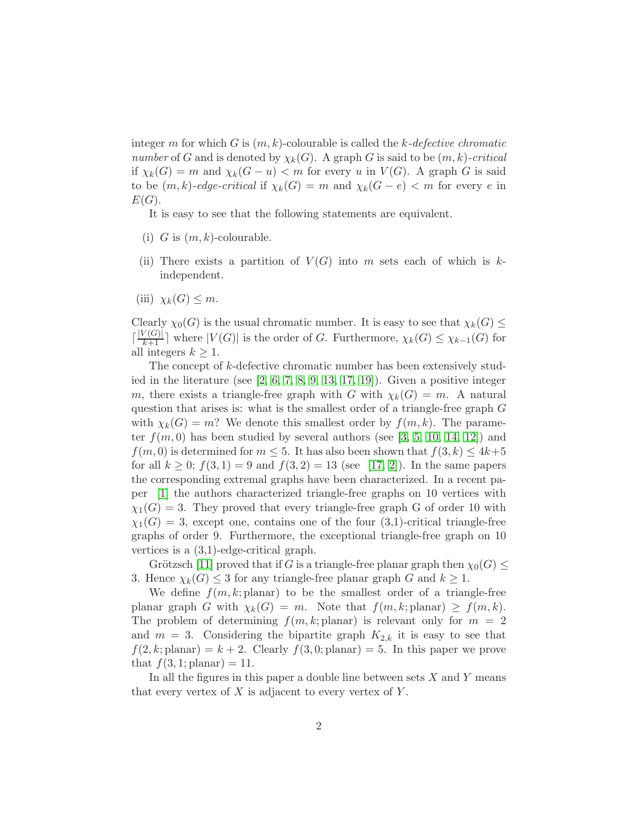integer m for which G is  $(m, k)$ -colourable is called the k-defective chromatic number of G and is denoted by  $\chi_k(G)$ . A graph G is said to be  $(m, k)$ -critical if  $\chi_k(G) = m$  and  $\chi_k(G - u) < m$  for every u in  $V(G)$ . A graph G is said to be  $(m, k)$ -edge-critical if  $\chi_k(G) = m$  and  $\chi_k(G - e) < m$  for every e in  $E(G).$ 

It is easy to see that the following statements are equivalent.

- (i) G is  $(m, k)$ -colourable.
- (ii) There exists a partition of  $V(G)$  into m sets each of which is kindependent.
- (iii)  $\chi_k(G) \leq m$ .

Clearly  $\chi_0(G)$  is the usual chromatic number. It is easy to see that  $\chi_k(G) \leq$  $\lceil \frac{|V(G)|}{k+1} \rceil$  where  $|V(G)|$  is the order of G. Furthermore,  $\chi_k(G) \leq \chi_{k-1}(G)$  for all integers  $k \geq 1$ .

The concept of k-defective chromatic number has been extensively studied in the literature (see  $[2, 6, 7, 8, 9, 13, 17, 19]$  $[2, 6, 7, 8, 9, 13, 17, 19]$  $[2, 6, 7, 8, 9, 13, 17, 19]$  $[2, 6, 7, 8, 9, 13, 17, 19]$  $[2, 6, 7, 8, 9, 13, 17, 19]$  $[2, 6, 7, 8, 9, 13, 17, 19]$  $[2, 6, 7, 8, 9, 13, 17, 19]$  $[2, 6, 7, 8, 9, 13, 17, 19]$ ). Given a positive integer m, there exists a triangle-free graph with G with  $\chi_k(G) = m$ . A natural question that arises is: what is the smallest order of a triangle-free graph G with  $\chi_k(G) = m$ ? We denote this smallest order by  $f(m, k)$ . The parameter  $f(m, 0)$  has been studied by several authors (see [\[3,](#page-10-6) [5,](#page-10-7) [10,](#page-10-8) [14,](#page-10-9) [12\]](#page-10-10)) and  $f(m, 0)$  is determined for  $m \leq 5$ . It has also been shown that  $f(3, k) \leq 4k+5$ for all  $k \geq 0$ ;  $f(3, 1) = 9$  and  $f(3, 2) = 13$  (see [\[17,](#page-11-0) [2\]](#page-9-0)). In the same papers the corresponding extremal graphs have been characterized. In a recent paper [\[1\]](#page-9-1) the authors characterized triangle-free graphs on 10 vertices with  $\chi_1(G) = 3$ . They proved that every triangle-free graph G of order 10 with  $\chi_1(G) = 3$ , except one, contains one of the four (3,1)-critical triangle-free graphs of order 9. Furthermore, the exceptional triangle-free graph on 10 vertices is a (3,1)-edge-critical graph.

Grötzsch [\[11\]](#page-10-11) proved that if G is a triangle-free planar graph then  $\chi_0(G) \leq$ 3. Hence  $\chi_k(G) \leq 3$  for any triangle-free planar graph G and  $k \geq 1$ .

We define  $f(m, k;$  planar) to be the smallest order of a triangle-free planar graph G with  $\chi_k(G) = m$ . Note that  $f(m, k;$  planar)  $\geq f(m, k)$ . The problem of determining  $f(m, k;$  planar) is relevant only for  $m = 2$ and  $m = 3$ . Considering the bipartite graph  $K_{2,k}$  it is easy to see that  $f(2, k;$  planar) =  $k + 2$ . Clearly  $f(3, 0;$  planar) = 5. In this paper we prove that  $f(3, 1;$  planar) = 11.

In all the figures in this paper a double line between sets  $X$  and  $Y$  means that every vertex of  $X$  is adjacent to every vertex of  $Y$ .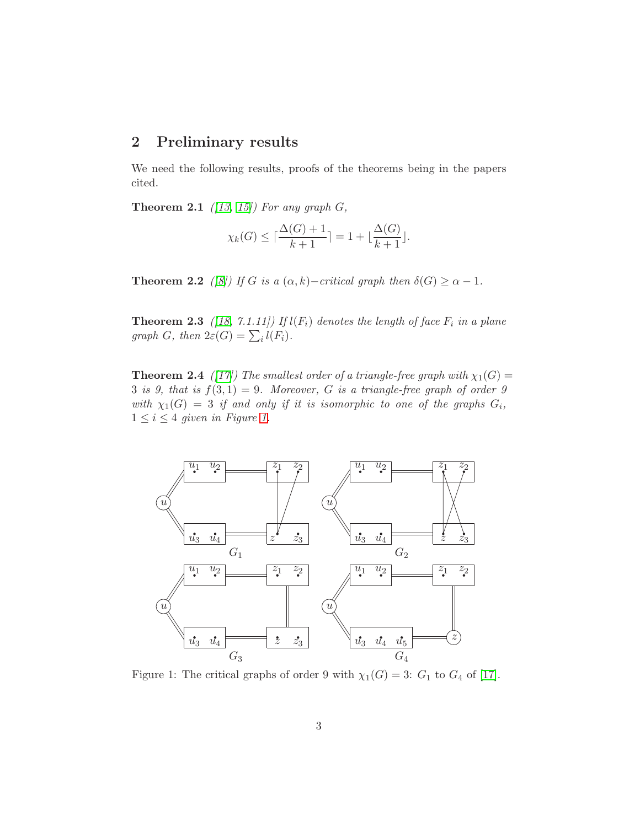# 2 Preliminary results

We need the following results, proofs of the theorems being in the papers cited.

**Theorem 2.1** ([\[13,](#page-10-5) [15\]](#page-10-12)) For any graph  $G$ ,

$$
\chi_k(G) \le \lceil \frac{\Delta(G) + 1}{k+1} \rceil = 1 + \lfloor \frac{\Delta(G)}{k+1} \rfloor.
$$

<span id="page-2-2"></span>**Theorem 2.2** ([\[8\]](#page-10-3)) If G is a  $(\alpha, k)$ –critical graph then  $\delta(G) \ge \alpha - 1$ .

**Theorem 2.3** ([\[18,](#page-11-2) 7.1.11]) If  $l(F_i)$  denotes the length of face  $F_i$  in a plane graph G, then  $2\varepsilon(G) = \sum_i l(F_i)$ .

**Theorem 2.4** ([\[17\]](#page-11-0)) The smallest order of a triangle-free graph with  $\chi_1(G)$  = 3 is 9, that is  $f(3,1) = 9$ . Moreover, G is a triangle-free graph of order 9 with  $\chi_1(G) = 3$  if and only if it is isomorphic to one of the graphs  $G_i$ ,  $1 \leq i \leq 4$  given in Figure [1.](#page-2-0)



<span id="page-2-1"></span><span id="page-2-0"></span>Figure 1: The critical graphs of order 9 with  $\chi_1(G) = 3$ :  $G_1$  to  $G_4$  of [\[17\]](#page-11-0).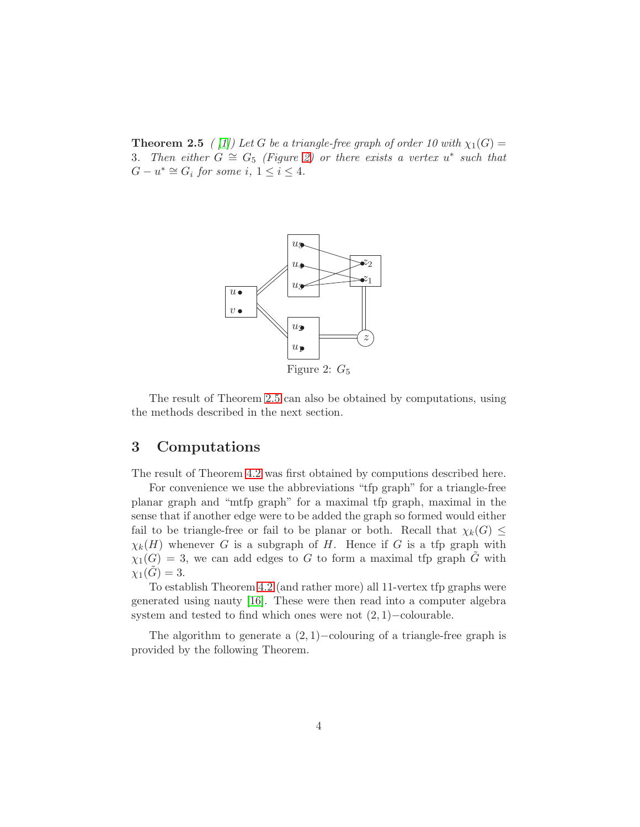**Theorem 2.5** ( [\[1\]](#page-9-1)) Let G be a triangle-free graph of order 10 with  $\chi_1(G)$  = 3. Then either  $G \cong G_5$  (Figure [2\)](#page-3-0) or there exists a vertex  $u^*$  such that  $G - u^* \cong G_i$  for some  $i, 1 \leq i \leq 4$ .

<span id="page-3-0"></span>

The result of Theorem [2.5](#page-2-1) can also be obtained by computations, using the methods described in the next section.

# 3 Computations

The result of Theorem [4.2](#page-6-0) was first obtained by computions described here.

For convenience we use the abbreviations "tfp graph" for a triangle-free planar graph and "mtfp graph" for a maximal tfp graph, maximal in the sense that if another edge were to be added the graph so formed would either fail to be triangle-free or fail to be planar or both. Recall that  $\chi_k(G) \leq$  $\chi_k(H)$  whenever G is a subgraph of H. Hence if G is a tfp graph with  $\chi_1(G) = 3$ , we can add edges to G to form a maximal tfp graph G with  $\chi_1(G) = 3.$ 

To establish Theorem [4.2](#page-6-0) (and rather more) all 11-vertex tfp graphs were generated using nauty [\[16\]](#page-10-13). These were then read into a computer algebra system and tested to find which ones were not (2, 1)−colourable.

<span id="page-3-1"></span>The algorithm to generate a  $(2, 1)$ −colouring of a triangle-free graph is provided by the following Theorem.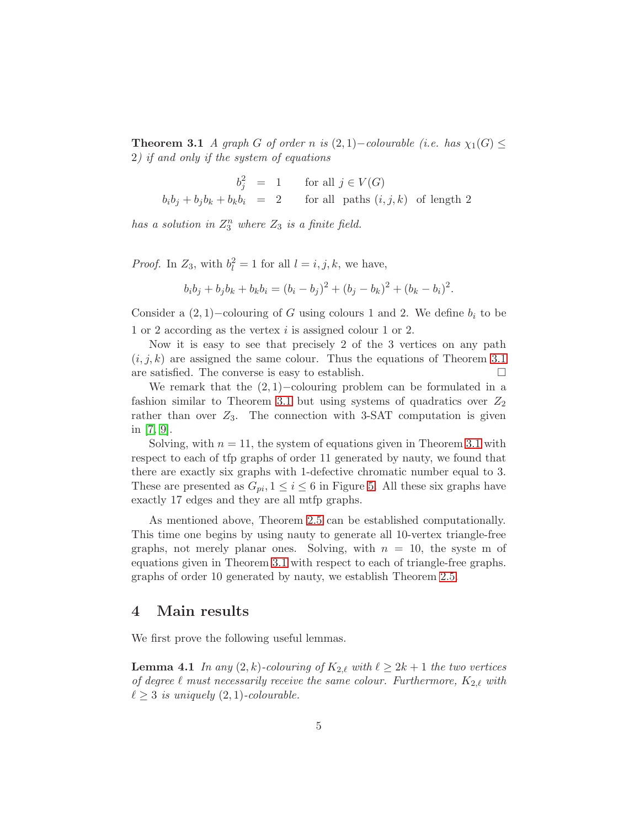**Theorem 3.1** A graph G of order n is  $(2, 1)$ –colourable (i.e. has  $\chi_1(G) \leq$ 2) if and only if the system of equations

$$
b_j^2 = 1 \qquad \text{for all } j \in V(G)
$$
  

$$
b_i b_j + b_j b_k + b_k b_i = 2 \qquad \text{for all paths } (i, j, k) \text{ of length 2}
$$

has a solution in  $Z_3^n$  where  $Z_3$  is a finite field.

*Proof.* In  $Z_3$ , with  $b_l^2 = 1$  for all  $l = i, j, k$ , we have,

$$
b_i b_j + b_j b_k + b_k b_i = (b_i - b_j)^2 + (b_j - b_k)^2 + (b_k - b_i)^2.
$$

Consider a  $(2, 1)$ –colouring of G using colours 1 and 2. We define  $b_i$  to be 1 or 2 according as the vertex i is assigned colour 1 or 2.

Now it is easy to see that precisely 2 of the 3 vertices on any path  $(i, j, k)$  are assigned the same colour. Thus the equations of Theorem [3.1](#page-3-1) are satisfied. The converse is easy to establish.

We remark that the  $(2, 1)$ –colouring problem can be formulated in a fashion similar to Theorem [3.1](#page-3-1) but using systems of quadratics over  $Z_2$ rather than over  $Z_3$ . The connection with 3-SAT computation is given in [\[7,](#page-10-2) [9\]](#page-10-4).

Solving, with  $n = 11$ , the system of equations given in Theorem [3.1](#page-3-1) with respect to each of tfp graphs of order 11 generated by nauty, we found that there are exactly six graphs with 1-defective chromatic number equal to 3. These are presented as  $G_{pi}$ ,  $1 \leq i \leq 6$  in Figure [5.](#page-8-0) All these six graphs have exactly 17 edges and they are all mtfp graphs.

As mentioned above, Theorem [2.5](#page-2-1) can be established computationally. This time one begins by using nauty to generate all 10-vertex triangle-free graphs, not merely planar ones. Solving, with  $n = 10$ , the system of equations given in Theorem [3.1](#page-3-1) with respect to each of triangle-free graphs. graphs of order 10 generated by nauty, we establish Theorem [2.5.](#page-2-1)

### 4 Main results

<span id="page-4-0"></span>We first prove the following useful lemmas.

**Lemma 4.1** In any  $(2, k)$ -colouring of  $K_{2,\ell}$  with  $\ell \geq 2k+1$  the two vertices of degree  $\ell$  must necessarily receive the same colour. Furthermore,  $K_{2,\ell}$  with  $\ell \geq 3$  is uniquely  $(2, 1)$ -colourable.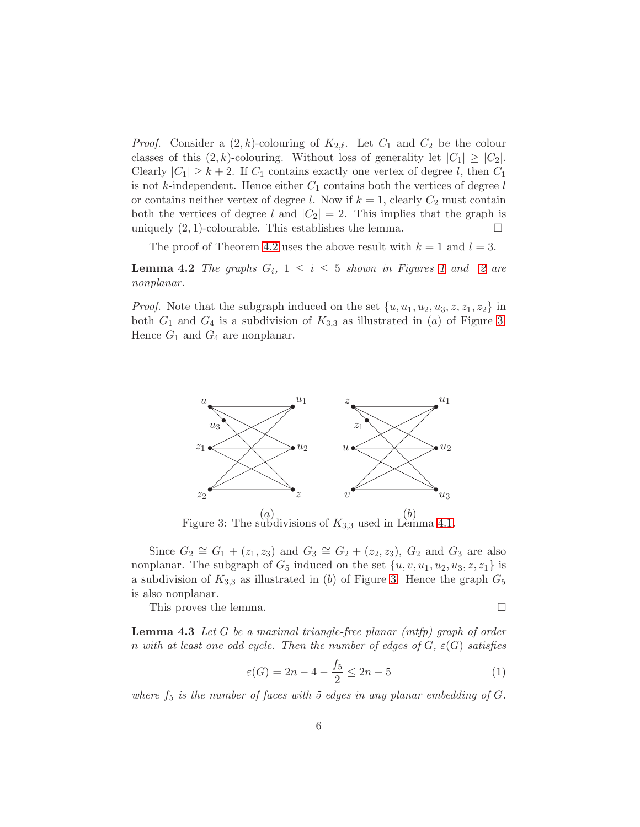*Proof.* Consider a  $(2, k)$ -colouring of  $K_{2,\ell}$ . Let  $C_1$  and  $C_2$  be the colour classes of this  $(2, k)$ -colouring. Without loss of generality let  $|C_1| \geq |C_2|$ . Clearly  $|C_1| \geq k+2$ . If  $C_1$  contains exactly one vertex of degree l, then  $C_1$ is not k-independent. Hence either  $C_1$  contains both the vertices of degree l or contains neither vertex of degree l. Now if  $k = 1$ , clearly  $C_2$  must contain both the vertices of degree l and  $|C_2| = 2$ . This implies that the graph is uniquely  $(2, 1)$ -colourable. This establishes the lemma.

<span id="page-5-3"></span>The proof of Theorem [4.2](#page-6-0) uses the above result with  $k = 1$  and  $l = 3$ .

**Lemma 4.2** The graphs  $G_i$ ,  $1 \leq i \leq 5$  shown in Figures [1](#page-2-0) and [2](#page-3-0) are nonplanar.

*Proof.* Note that the subgraph induced on the set  $\{u, u_1, u_2, u_3, z, z_1, z_2\}$  in both  $G_1$  and  $G_4$  is a subdivision of  $K_{3,3}$  as illustrated in (a) of Figure [3.](#page-5-0) Hence  $G_1$  and  $G_4$  are nonplanar.



<span id="page-5-0"></span> $(a)$   $\ldots$   $\ldots$   $(b)$ Figure 3: The subdivisions of  $K_{3,3}$  used in Lemma [4.1.](#page-4-0)

Since  $G_2 \cong G_1 + (z_1, z_3)$  and  $G_3 \cong G_2 + (z_2, z_3), G_2$  and  $G_3$  are also nonplanar. The subgraph of  $G_5$  induced on the set  $\{u, v, u_1, u_2, u_3, z, z_1\}$  is a subdivision of  $K_{3,3}$  as illustrated in (b) of Figure [3.](#page-5-0) Hence the graph  $G_5$ is also nonplanar.

<span id="page-5-2"></span>This proves the lemma.

**Lemma 4.3** Let  $G$  be a maximal triangle-free planar (mtfp) graph of order n with at least one odd cycle. Then the number of edges of  $G$ ,  $\varepsilon(G)$  satisfies

<span id="page-5-1"></span>
$$
\varepsilon(G) = 2n - 4 - \frac{f_5}{2} \le 2n - 5 \tag{1}
$$

where  $f_5$  is the number of faces with 5 edges in any planar embedding of  $G$ .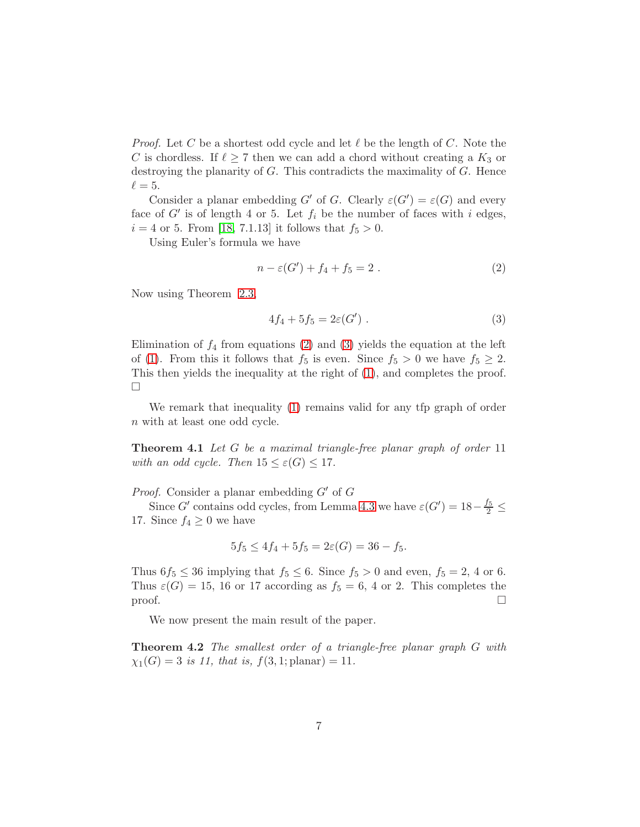*Proof.* Let C be a shortest odd cycle and let  $\ell$  be the length of C. Note the C is chordless. If  $\ell \geq 7$  then we can add a chord without creating a  $K_3$  or destroying the planarity of G. This contradicts the maximality of G. Hence  $\ell = 5$ .

Consider a planar embedding G' of G. Clearly  $\varepsilon(G') = \varepsilon(G)$  and every face of  $G'$  is of length 4 or 5. Let  $f_i$  be the number of faces with i edges,  $i = 4$  or 5. From [\[18,](#page-11-2) 7.1.13] it follows that  $f_5 > 0$ .

Using Euler's formula we have

<span id="page-6-1"></span>
$$
n - \varepsilon(G') + f_4 + f_5 = 2.
$$
 (2)

Now using Theorem [2.3,](#page-2-2)

<span id="page-6-2"></span>
$$
4f_4 + 5f_5 = 2\varepsilon(G') . \tag{3}
$$

Elimination of  $f_4$  from equations [\(2\)](#page-6-1) and [\(3\)](#page-6-2) yields the equation at the left of [\(1\)](#page-5-1). From this it follows that  $f_5$  is even. Since  $f_5 > 0$  we have  $f_5 \geq 2$ . This then yields the inequality at the right of [\(1\)](#page-5-1), and completes the proof.  $\Box$ 

We remark that inequality [\(1\)](#page-5-1) remains valid for any tfp graph of order n with at least one odd cycle.

**Theorem 4.1** Let G be a maximal triangle-free planar graph of order 11 with an odd cycle. Then  $15 \leq \varepsilon(G) \leq 17$ .

*Proof.* Consider a planar embedding  $G'$  of  $G$ 

Since G' contains odd cycles, from Lemma [4.3](#page-5-2) we have  $\varepsilon(G') = 18 - \frac{f_5}{2} \leq$ 17. Since  $f_4 \geq 0$  we have

$$
5f_5 \le 4f_4 + 5f_5 = 2\varepsilon(G) = 36 - f_5.
$$

Thus  $6f_5 \leq 36$  implying that  $f_5 \leq 6$ . Since  $f_5 > 0$  and even,  $f_5 = 2$ , 4 or 6. Thus  $\varepsilon(G) = 15$ , 16 or 17 according as  $f_5 = 6$ , 4 or 2. This completes the  $\Box$ 

<span id="page-6-0"></span>We now present the main result of the paper.

**Theorem 4.2** The smallest order of a triangle-free planar graph G with  $\chi_1(G) = 3$  is 11, that is,  $f(3, 1; \text{planar}) = 11$ .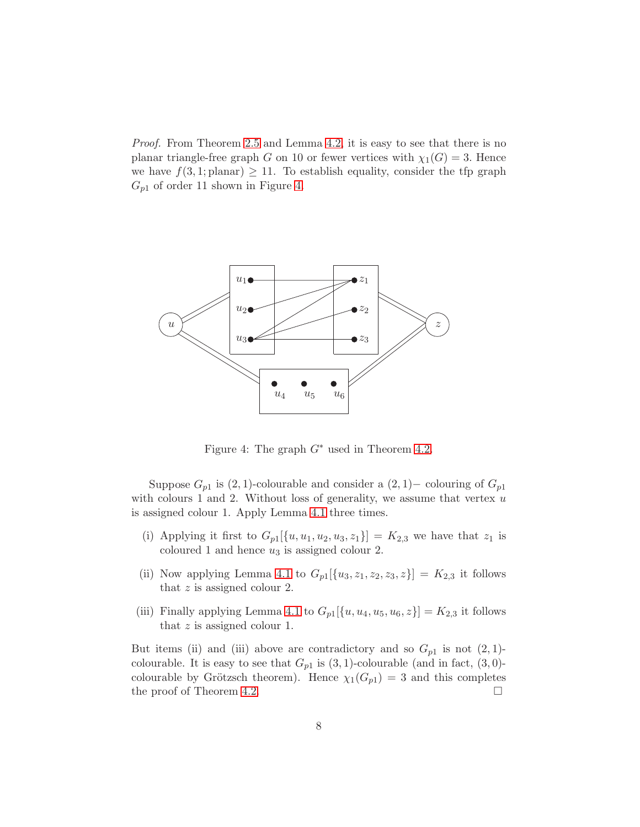Proof. From Theorem [2.5](#page-2-1) and Lemma [4.2,](#page-5-3) it is easy to see that there is no planar triangle-free graph G on 10 or fewer vertices with  $\chi_1(G) = 3$ . Hence we have  $f(3, 1;$  planar)  $\geq 11$ . To establish equality, consider the tfp graph  $G_{p1}$  of order 11 shown in Figure [4.](#page-7-0)



<span id="page-7-0"></span>Figure 4: The graph  $G^*$  used in Theorem [4.2.](#page-6-0)

Suppose  $G_{p1}$  is  $(2, 1)$ -colourable and consider a  $(2, 1)$  – colouring of  $G_{p1}$ with colours 1 and 2. Without loss of generality, we assume that vertex  $u$ is assigned colour 1. Apply Lemma [4.1](#page-4-0) three times.

- (i) Applying it first to  $G_{p1}[\{u, u_1, u_2, u_3, z_1\}] = K_{2,3}$  we have that  $z_1$  is coloured 1 and hence  $u_3$  is assigned colour 2.
- (ii) Now applying Lemma [4.1](#page-4-0) to  $G_{p1}[\{u_3, z_1, z_2, z_3, z\}] = K_{2,3}$  it follows that  $z$  is assigned colour 2.
- (iii) Finally applying Lemma [4.1](#page-4-0) to  $G_{p1}[\{u, u_4, u_5, u_6, z\}] = K_{2,3}$  it follows that  $z$  is assigned colour 1.

But items (ii) and (iii) above are contradictory and so  $G_{p1}$  is not  $(2, 1)$ colourable. It is easy to see that  $G_{p1}$  is  $(3,1)$ -colourable (and in fact,  $(3,0)$ colourable by Grötzsch theorem). Hence  $\chi_1(G_{p1}) = 3$  and this completes the proof of Theorem [4.2.](#page-6-0)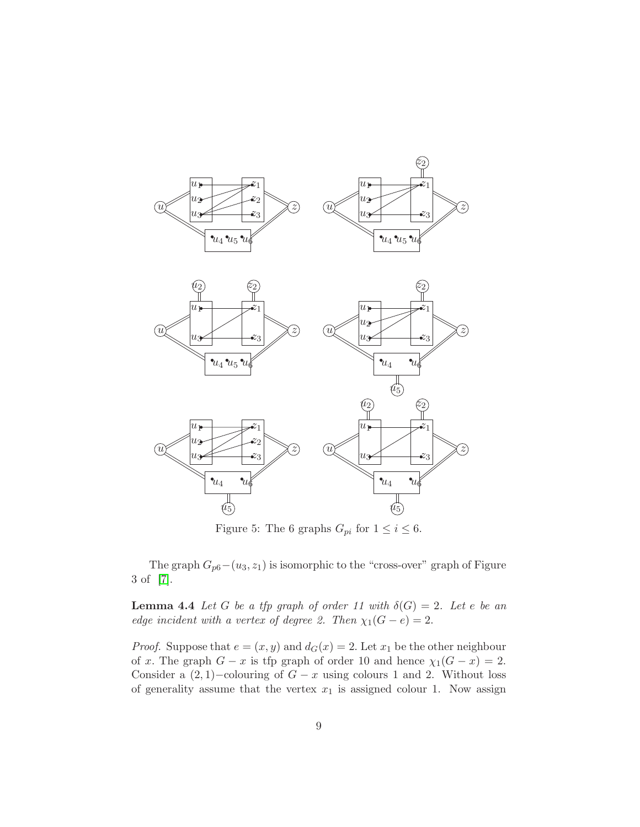

<span id="page-8-0"></span>Figure 5: The 6 graphs  $G_{pi}$  for  $1 \leq i \leq 6$ .

<span id="page-8-1"></span>The graph  $G_{p6}-(u_3, z_1)$  is isomorphic to the "cross-over" graph of Figure 3 of [\[7\]](#page-10-2).

**Lemma 4.4** Let G be a tfp graph of order 11 with  $\delta(G) = 2$ . Let e be an edge incident with a vertex of degree 2. Then  $\chi_1(G - e) = 2$ .

*Proof.* Suppose that  $e = (x, y)$  and  $d_G(x) = 2$ . Let  $x_1$  be the other neighbour of x. The graph  $G - x$  is tfp graph of order 10 and hence  $\chi_1(G - x) = 2$ . Consider a  $(2, 1)$ –colouring of  $G - x$  using colours 1 and 2. Without loss of generality assume that the vertex  $x_1$  is assigned colour 1. Now assign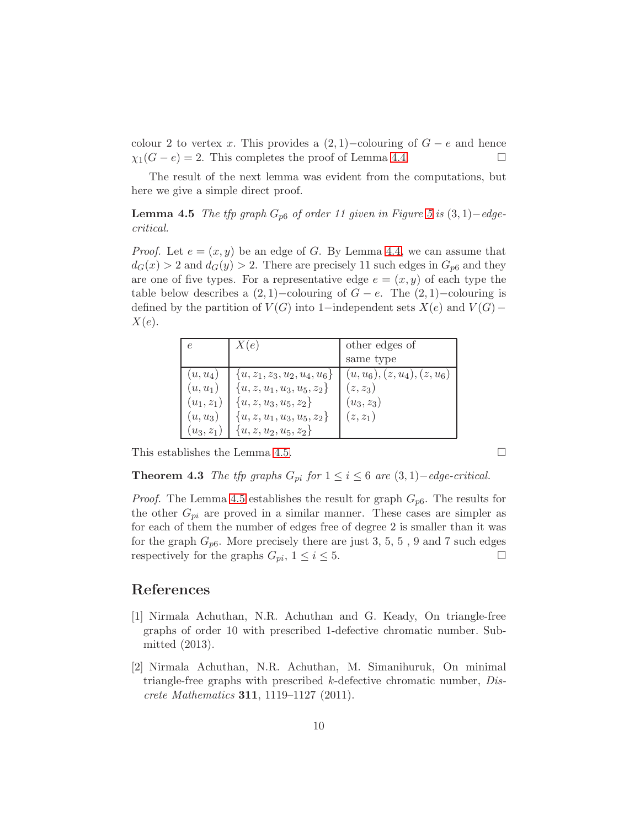colour 2 to vertex x. This provides a  $(2, 1)$ –colouring of  $G - e$  and hence  $\chi_1(G-e)=2$ . This completes the proof of Lemma [4.4.](#page-8-1)

<span id="page-9-2"></span>The result of the next lemma was evident from the computations, but here we give a simple direct proof.

**Lemma 4.5** The tfp graph  $G_{p6}$  of order 11 given in Figure [5](#page-8-0) is  $(3, 1)$ −edgecritical.

*Proof.* Let  $e = (x, y)$  be an edge of G. By Lemma [4.4,](#page-8-1) we can assume that  $d_G(x) > 2$  and  $d_G(y) > 2$ . There are precisely 11 such edges in  $G_{p6}$  and they are one of five types. For a representative edge  $e = (x, y)$  of each type the table below describes a  $(2, 1)$ –colouring of  $G - e$ . The  $(2, 1)$ –colouring is defined by the partition of  $V(G)$  into 1−independent sets  $X(e)$  and  $V(G)$ −  $X(e).$ 

|              | X(e)                             | other edges of                 |
|--------------|----------------------------------|--------------------------------|
|              |                                  | same type                      |
| $(u, u_4)$   | $\{u, z_1, z_3, u_2, u_4, u_6\}$ | $(u, u_6), (z, u_4), (z, u_6)$ |
| $(u, u_1)$   | ${u, z, u_1, u_3, u_5, z_2}$     | $(z, z_3)$                     |
| $(u_1, z_1)$ | ${u, z, u_3, u_5, z_2}$          | $(u_3, z_3)$                   |
| $(u, u_3)$   | $\{u, z, u_1, u_3, u_5, z_2\}$   | $(z, z_1)$                     |
| $(u_3, z_1)$ | $\{u, z, u_2, u_5, z_2\}$        |                                |

This establishes the Lemma [4.5.](#page-9-2)

**Theorem 4.3** The tfp graphs  $G_{pi}$  for  $1 \leq i \leq 6$  are  $(3,1)$ –edge-critical.

*Proof.* The Lemma [4.5](#page-9-2) establishes the result for graph  $G_{p6}$ . The results for the other  $G_{pi}$  are proved in a similar manner. These cases are simpler as for each of them the number of edges free of degree 2 is smaller than it was for the graph  $G_{p6}$ . More precisely there are just 3, 5, 5, 9 and 7 such edges respectively for the graphs  $G_{pi}$ ,  $1 \leq i \leq 5$ .

#### <span id="page-9-1"></span>References

- [1] Nirmala Achuthan, N.R. Achuthan and G. Keady, On triangle-free graphs of order 10 with prescribed 1-defective chromatic number. Submitted (2013).
- <span id="page-9-0"></span>[2] Nirmala Achuthan, N.R. Achuthan, M. Simanihuruk, On minimal triangle-free graphs with prescribed  $k$ -defective chromatic number, *Dis*crete Mathematics 311, 1119–1127 (2011).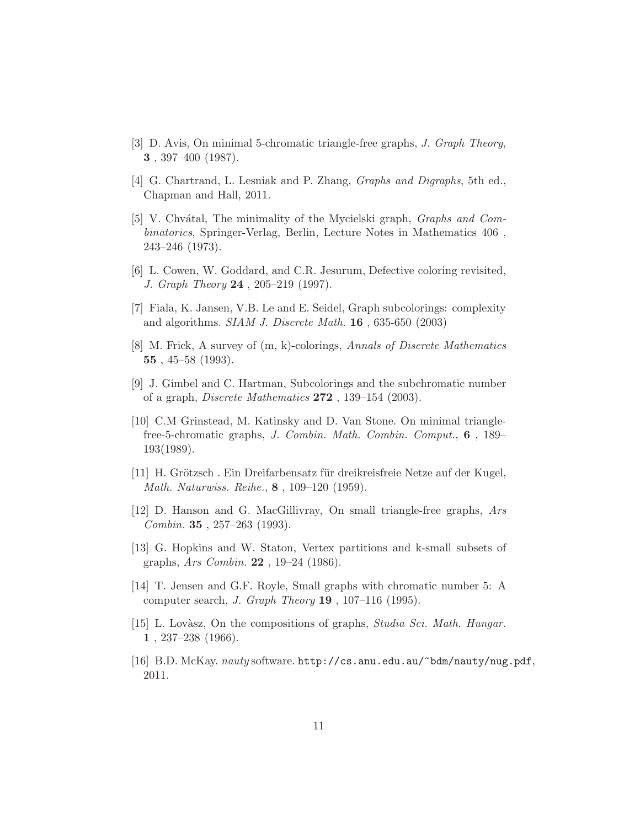- <span id="page-10-6"></span><span id="page-10-0"></span>[3] D. Avis, On minimal 5-chromatic triangle-free graphs, J. Graph Theory, 3 , 397–400 (1987).
- <span id="page-10-7"></span>[4] G. Chartrand, L. Lesniak and P. Zhang, Graphs and Digraphs, 5th ed., Chapman and Hall, 2011.
- [5] V. Chvátal, The minimality of the Mycielski graph, *Graphs and Com*binatorics, Springer-Verlag, Berlin, Lecture Notes in Mathematics 406 , 243–246 (1973).
- <span id="page-10-2"></span><span id="page-10-1"></span>[6] L. Cowen, W. Goddard, and C.R. Jesurum, Defective coloring revisited, J. Graph Theory 24 , 205–219 (1997).
- <span id="page-10-3"></span>[7] Fiala, K. Jansen, V.B. Le and E. Seidel, Graph subcolorings: complexity and algorithms. SIAM J. Discrete Math. 16 , 635-650 (2003)
- <span id="page-10-4"></span>[8] M. Frick, A survey of (m, k)-colorings, Annals of Discrete Mathematics 55,  $45-58$  (1993).
- <span id="page-10-8"></span>[9] J. Gimbel and C. Hartman, Subcolorings and the subchromatic number of a graph, Discrete Mathematics 272 , 139–154 (2003).
- [10] C.M Grinstead, M. Katinsky and D. Van Stone. On minimal trianglefree-5-chromatic graphs, J. Combin. Math. Combin. Comput., 6 , 189– 193(1989).
- <span id="page-10-11"></span>[11] H. Grötzsch. Ein Dreifarbensatz für dreikreisfreie Netze auf der Kugel, Math. Naturwiss. Reihe., 8 , 109–120 (1959).
- <span id="page-10-10"></span><span id="page-10-5"></span>[12] D. Hanson and G. MacGillivray, On small triangle-free graphs, Ars Combin. 35 , 257–263 (1993).
- <span id="page-10-9"></span>[13] G. Hopkins and W. Staton, Vertex partitions and k-small subsets of graphs, Ars Combin. 22 , 19–24 (1986).
- [14] T. Jensen and G.F. Royle, Small graphs with chromatic number 5: A computer search, J. Graph Theory 19 , 107–116 (1995).
- <span id="page-10-12"></span>[15] L. Lovàsz, On the compositions of graphs, *Studia Sci. Math. Hungar.* 1 , 237–238 (1966).
- <span id="page-10-13"></span>[16] B.D. McKay. nauty software. http://cs.anu.edu.au/~bdm/nauty/nug.pdf, 2011.